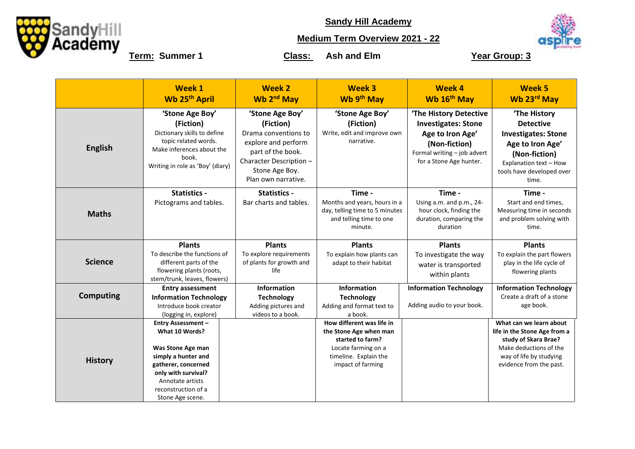

**Sandy Hill Academy**

## **Medium Term Overview 2021 - 22**



**Term:** Summer 1 **Class:** Ash and Elm **Year Group: 3** 

|                  | <b>Week 1</b><br>Wb 25 <sup>th</sup> April                                                                                                                                                           | <b>Week 2</b><br>Wb 2 <sup>nd</sup> May                                                                                                                              | <b>Week 3</b><br>Wb 9th May                                                                                                                  | <b>Week 4</b><br>Wb 16 <sup>th</sup> May                                                                                                            | Week <sub>5</sub><br>Wb 23rd May                                                                                                                                    |
|------------------|------------------------------------------------------------------------------------------------------------------------------------------------------------------------------------------------------|----------------------------------------------------------------------------------------------------------------------------------------------------------------------|----------------------------------------------------------------------------------------------------------------------------------------------|-----------------------------------------------------------------------------------------------------------------------------------------------------|---------------------------------------------------------------------------------------------------------------------------------------------------------------------|
| <b>English</b>   | 'Stone Age Boy'<br>(Fiction)<br>Dictionary skills to define<br>topic related words.<br>Make inferences about the<br>book.<br>Writing in role as 'Boy' (diary)                                        | 'Stone Age Boy'<br>(Fiction)<br>Drama conventions to<br>explore and perform<br>part of the book.<br>Character Description -<br>Stone Age Boy.<br>Plan own narrative. | 'Stone Age Boy'<br>(Fiction)<br>Write, edit and improve own<br>narrative.                                                                    | 'The History Detective<br><b>Investigates: Stone</b><br>Age to Iron Age'<br>(Non-fiction)<br>Formal writing - job advert<br>for a Stone Age hunter. | 'The History<br><b>Detective</b><br><b>Investigates: Stone</b><br>Age to Iron Age'<br>(Non-fiction)<br>Explanation text - How<br>tools have developed over<br>time. |
| <b>Maths</b>     | <b>Statistics -</b><br>Pictograms and tables.                                                                                                                                                        | <b>Statistics -</b><br>Bar charts and tables.                                                                                                                        | Time -<br>Months and years, hours in a<br>day, telling time to 5 minutes<br>and telling time to one<br>minute.                               | Time -<br>Using a.m. and p.m., 24-<br>hour clock, finding the<br>duration, comparing the<br>duration                                                | Time -<br>Start and end times,<br>Measuring time in seconds<br>and problem solving with<br>time.                                                                    |
| <b>Science</b>   | <b>Plants</b><br>To describe the functions of<br>different parts of the<br>flowering plants (roots,<br>stem/trunk, leaves, flowers)                                                                  | <b>Plants</b><br>To explore requirements<br>of plants for growth and<br>life                                                                                         | <b>Plants</b><br>To explain how plants can<br>adapt to their habitat                                                                         | <b>Plants</b><br>To investigate the way<br>water is transported<br>within plants                                                                    | <b>Plants</b><br>To explain the part flowers<br>play in the life cycle of<br>flowering plants                                                                       |
| <b>Computing</b> | <b>Entry assessment</b><br><b>Information Technology</b><br>Introduce book creator<br>(logging in, explore)                                                                                          | Information<br><b>Technology</b><br>Adding pictures and<br>videos to a book.                                                                                         | Information<br><b>Technology</b><br>Adding and format text to<br>a book.                                                                     | <b>Information Technology</b><br>Adding audio to your book.                                                                                         | <b>Information Technology</b><br>Create a draft of a stone<br>age book.                                                                                             |
| <b>History</b>   | <b>Entry Assessment -</b><br>What 10 Words?<br>Was Stone Age man<br>simply a hunter and<br>gatherer, concerned<br>only with survival?<br>Annotate artists<br>reconstruction of a<br>Stone Age scene. |                                                                                                                                                                      | How different was life in<br>the Stone Age when man<br>started to farm?<br>Locate farming on a<br>timeline. Explain the<br>impact of farming |                                                                                                                                                     | What can we learn about<br>life in the Stone Age from a<br>study of Skara Brae?<br>Make deductions of the<br>way of life by studying<br>evidence from the past.     |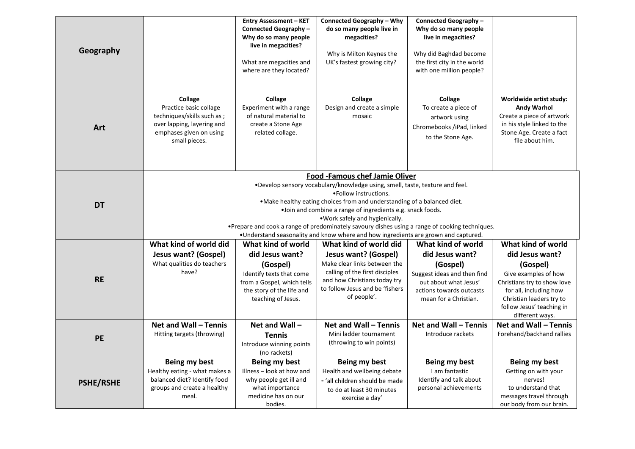| Geography        |                                                                                                                                                                                                                                                                                                                                                                                                                         | <b>Entry Assessment - KET</b><br>Connected Geography-<br>Why do so many people<br>live in megacities?<br>What are megacities and<br>where are they located?    | <b>Connected Geography - Why</b><br>do so many people live in<br>megacities?<br>Why is Milton Keynes the<br>UK's fastest growing city?                                                                                                                                                    | Connected Geography-<br>Why do so many people<br>live in megacities?<br>Why did Baghdad become<br>the first city in the world<br>with one million people?      |                                                                                                                                                                                                                |  |  |
|------------------|-------------------------------------------------------------------------------------------------------------------------------------------------------------------------------------------------------------------------------------------------------------------------------------------------------------------------------------------------------------------------------------------------------------------------|----------------------------------------------------------------------------------------------------------------------------------------------------------------|-------------------------------------------------------------------------------------------------------------------------------------------------------------------------------------------------------------------------------------------------------------------------------------------|----------------------------------------------------------------------------------------------------------------------------------------------------------------|----------------------------------------------------------------------------------------------------------------------------------------------------------------------------------------------------------------|--|--|
| Art              | Collage<br>Practice basic collage<br>techniques/skills such as;<br>over lapping, layering and<br>emphases given on using<br>small pieces.                                                                                                                                                                                                                                                                               | Collage<br>Experiment with a range<br>of natural material to<br>create a Stone Age<br>related collage.                                                         | Collage<br>Design and create a simple<br>mosaic                                                                                                                                                                                                                                           | Collage<br>To create a piece of<br>artwork using<br>Chromebooks /iPad, linked<br>to the Stone Age.                                                             | Worldwide artist study:<br>Andy Warhol<br>Create a piece of artwork<br>in his style linked to the<br>Stone Age. Create a fact<br>file about him.                                                               |  |  |
| <b>DT</b>        | Food -Famous chef Jamie Oliver<br>.Develop sensory vocabulary/knowledge using, smell, taste, texture and feel.<br>• Follow instructions.<br>.Make healthy eating choices from and understanding of a balanced diet.<br>.Join and combine a range of ingredients e.g. snack foods.<br>. Work safely and hygienically.<br>• Prepare and cook a range of predominately savoury dishes using a range of cooking techniques. |                                                                                                                                                                |                                                                                                                                                                                                                                                                                           |                                                                                                                                                                |                                                                                                                                                                                                                |  |  |
| <b>RE</b>        | What kind of world did<br><b>Jesus want? (Gospel)</b><br>What qualities do teachers<br>have?                                                                                                                                                                                                                                                                                                                            | What kind of world<br>did Jesus want?<br>(Gospel)<br>Identify texts that come<br>from a Gospel, which tells<br>the story of the life and<br>teaching of Jesus. | . Understand seasonality and know where and how ingredients are grown and captured.<br>What kind of world did<br>Jesus want? (Gospel)<br>Make clear links between the<br>calling of the first disciples<br>and how Christians today try<br>to follow Jesus and be 'fishers<br>of people'. | What kind of world<br>did Jesus want?<br>(Gospel)<br>Suggest ideas and then find<br>out about what Jesus'<br>actions towards outcasts<br>mean for a Christian. | What kind of world<br>did Jesus want?<br>(Gospel)<br>Give examples of how<br>Christians try to show love<br>for all, including how<br>Christian leaders try to<br>follow Jesus' teaching in<br>different ways. |  |  |
| <b>PE</b>        | Net and Wall - Tennis<br>Hitting targets (throwing)                                                                                                                                                                                                                                                                                                                                                                     | Net and Wall-<br><b>Tennis</b><br>Introduce winning points<br>(no rackets)                                                                                     | Net and Wall - Tennis<br>Mini ladder tournament<br>(throwing to win points)                                                                                                                                                                                                               | Net and Wall - Tennis<br>Introduce rackets                                                                                                                     | Net and Wall - Tennis<br>Forehand/backhand rallies                                                                                                                                                             |  |  |
| <b>PSHE/RSHE</b> | Being my best<br>Healthy eating - what makes a<br>balanced diet? Identify food<br>groups and create a healthy<br>meal.                                                                                                                                                                                                                                                                                                  | Being my best<br>Illness - look at how and<br>why people get ill and<br>what importance<br>medicine has on our<br>bodies.                                      | Being my best<br>Health and wellbeing debate<br>- 'all children should be made<br>to do at least 30 minutes<br>exercise a day'                                                                                                                                                            | Being my best<br>I am fantastic<br>Identify and talk about<br>personal achievements                                                                            | Being my best<br>Getting on with your<br>nerves!<br>to understand that<br>messages travel through<br>our body from our brain.                                                                                  |  |  |